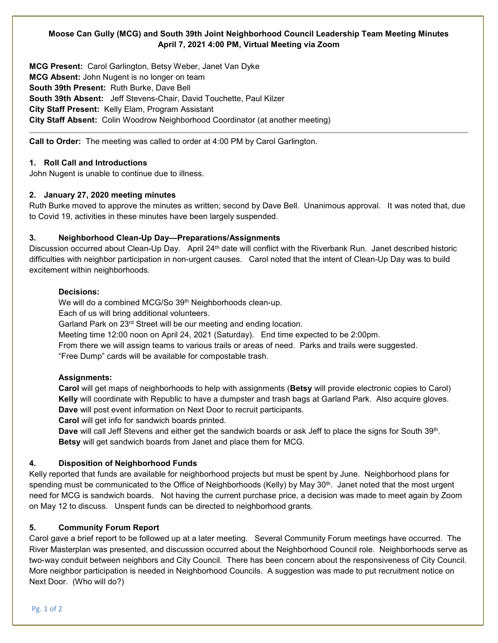## **Moose Can Gully (MCG) and South 39th Joint Neighborhood Council Leadership Team Meeting Minutes April 7, 2021 4:00 PM, Virtual Meeting via Zoom**

**MCG Present:** Carol Garlington, Betsy Weber, Janet Van Dyke **MCG Absent:** John Nugent is no longer on team **South 39th Present:** Ruth Burke, Dave Bell **South 39th Absent:** Jeff Stevens-Chair, David Touchette, Paul Kilzer **City Staff Present:** Kelly Elam, Program Assistant **City Staff Absent:** Colin Woodrow Neighborhood Coordinator (at another meeting)

**Call to Order:** The meeting was called to order at 4:00 PM by Carol Garlington.

## **1. Roll Call and Introductions**

John Nugent is unable to continue due to illness.

## **2. January 27, 2020 meeting minutes**

Ruth Burke moved to approve the minutes as written; second by Dave Bell. Unanimous approval. It was noted that, due to Covid 19, activities in these minutes have been largely suspended.

## **3. Neighborhood Clean-Up Day—Preparations/Assignments**

Discussion occurred about Clean-Up Day. April 24<sup>th</sup> date will conflict with the Riverbank Run. Janet described historic difficulties with neighbor participation in non-urgent causes. Carol noted that the intent of Clean-Up Day was to build excitement within neighborhoods.

## **Decisions:**

We will do a combined MCG/So 39<sup>th</sup> Neighborhoods clean-up.

Each of us will bring additional volunteers.

Garland Park on 23rd Street will be our meeting and ending location.

Meeting time 12:00 noon on April 24, 2021 (Saturday). End time expected to be 2:00pm.

From there we will assign teams to various trails or areas of need. Parks and trails were suggested. "Free Dump" cards will be available for compostable trash.

## **Assignments:**

**Carol** will get maps of neighborhoods to help with assignments (**Betsy** will provide electronic copies to Carol) **Kelly** will coordinate with Republic to have a dumpster and trash bags at Garland Park. Also acquire gloves. **Dave** will post event information on Next Door to recruit participants.

**Carol** will get info for sandwich boards printed.

**Dave** will call Jeff Stevens and either get the sandwich boards or ask Jeff to place the signs for South 39th. **Betsy** will get sandwich boards from Janet and place them for MCG.

## **4. Disposition of Neighborhood Funds**

Kelly reported that funds are available for neighborhood projects but must be spent by June. Neighborhood plans for spending must be communicated to the Office of Neighborhoods (Kelly) by May 30<sup>th</sup>. Janet noted that the most urgent need for MCG is sandwich boards. Not having the current purchase price, a decision was made to meet again by Zoom on May 12 to discuss. Unspent funds can be directed to neighborhood grants.

# **5. Community Forum Report**

Carol gave a brief report to be followed up at a later meeting. Several Community Forum meetings have occurred. The River Masterplan was presented, and discussion occurred about the Neighborhood Council role. Neighborhoods serve as two-way conduit between neighbors and City Council. There has been concern about the responsiveness of City Council. More neighbor participation is needed in Neighborhood Councils. A suggestion was made to put recruitment notice on Next Door. (Who will do?)